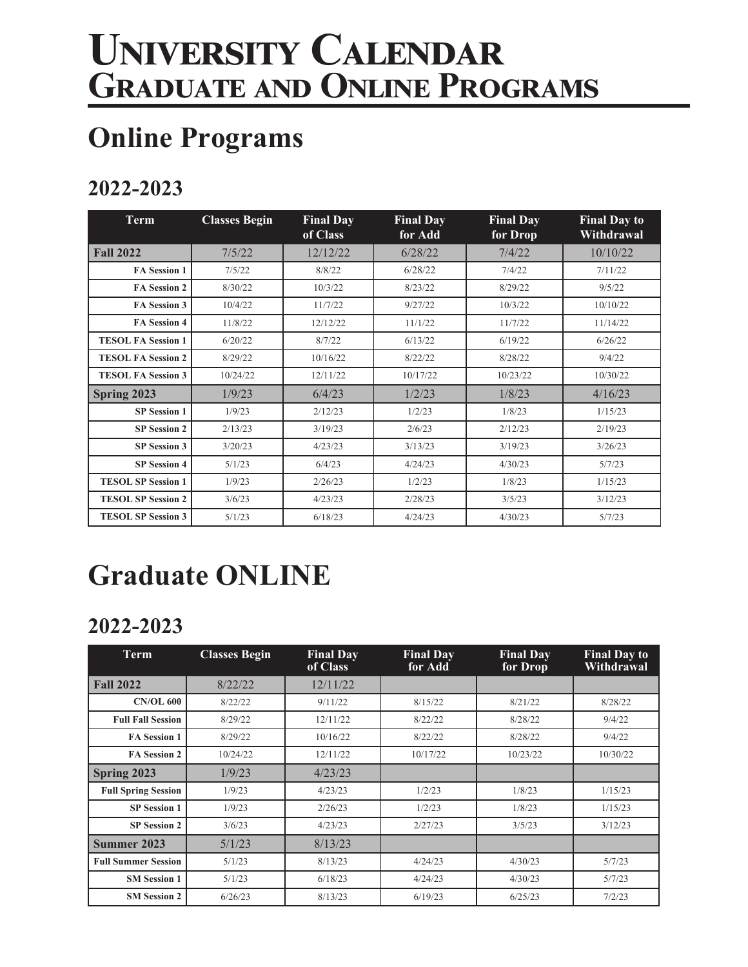# **University Calendar Graduate and Online Programs**

### **Online Programs**

### **2022-2023**

| <b>Term</b>               | <b>Classes Begin</b> | <b>Final Day</b><br>of Class | <b>Final Day</b><br>for Add | <b>Final Day</b><br>for Drop | <b>Final Day to</b><br>Withdrawal |
|---------------------------|----------------------|------------------------------|-----------------------------|------------------------------|-----------------------------------|
| <b>Fall 2022</b>          | 7/5/22               | 12/12/22                     | 6/28/22                     | 7/4/22                       | 10/10/22                          |
| <b>FA Session 1</b>       | 7/5/22               | 8/8/22                       | 6/28/22                     | 7/4/22                       | 7/11/22                           |
| <b>FA Session 2</b>       | 8/30/22              | 10/3/22                      | 8/23/22                     | 8/29/22                      | 9/5/22                            |
| FA Session 3              | 10/4/22              | 11/7/22                      | 9/27/22                     | 10/3/22                      | 10/10/22                          |
| <b>FA Session 4</b>       | 11/8/22              | 12/12/22                     | 11/1/22                     | 11/7/22                      | 11/14/22                          |
| <b>TESOL FA Session 1</b> | 6/20/22              | 8/7/22                       | 6/13/22                     | 6/19/22                      | 6/26/22                           |
| <b>TESOL FA Session 2</b> | 8/29/22              | 10/16/22                     | 8/22/22                     | 8/28/22                      | 9/4/22                            |
| <b>TESOL FA Session 3</b> | 10/24/22             | 12/11/22                     | 10/17/22                    | 10/23/22                     | 10/30/22                          |
| Spring 2023               | 1/9/23               | 6/4/23                       | 1/2/23                      | 1/8/23                       | 4/16/23                           |
| <b>SP Session 1</b>       | 1/9/23               | 2/12/23                      | 1/2/23                      | 1/8/23                       | 1/15/23                           |
| <b>SP Session 2</b>       | 2/13/23              | 3/19/23                      | 2/6/23                      | 2/12/23                      | 2/19/23                           |
| <b>SP</b> Session 3       | 3/20/23              | 4/23/23                      | 3/13/23                     | 3/19/23                      | 3/26/23                           |
| <b>SP Session 4</b>       | 5/1/23               | 6/4/23                       | 4/24/23                     | 4/30/23                      | 5/7/23                            |
| <b>TESOL SP Session 1</b> | 1/9/23               | 2/26/23                      | 1/2/23                      | 1/8/23                       | 1/15/23                           |
| <b>TESOL SP Session 2</b> | 3/6/23               | 4/23/23                      | 2/28/23                     | 3/5/23                       | 3/12/23                           |
| <b>TESOL SP Session 3</b> | 5/1/23               | 6/18/23                      | 4/24/23                     | 4/30/23                      | 5/7/23                            |

## **Graduate ONLINE**

#### **2022-2023**

| <b>Term</b>                | <b>Classes Begin</b> | <b>Final Day</b><br>of Class | <b>Final Day</b><br>for Add | <b>Final Day</b><br>for Drop | <b>Final Day to</b><br>Withdrawal |
|----------------------------|----------------------|------------------------------|-----------------------------|------------------------------|-----------------------------------|
| <b>Fall 2022</b>           | 8/22/22              | 12/11/22                     |                             |                              |                                   |
| <b>CN/OL 600</b>           | 8/22/22              | 9/11/22                      | 8/15/22                     | 8/21/22                      | 8/28/22                           |
| <b>Full Fall Session</b>   | 8/29/22              | 12/11/22                     | 8/22/22                     | 8/28/22                      | 9/4/22                            |
| <b>FA Session 1</b>        | 8/29/22              | 10/16/22                     | 8/22/22                     | 8/28/22                      | 9/4/22                            |
| <b>FA Session 2</b>        | 10/24/22             | 12/11/22                     | 10/17/22                    | 10/23/22                     | 10/30/22                          |
| Spring 2023                | 1/9/23               | 4/23/23                      |                             |                              |                                   |
| <b>Full Spring Session</b> | 1/9/23               | 4/23/23                      | 1/2/23                      | 1/8/23                       | 1/15/23                           |
| <b>SP</b> Session 1        | 1/9/23               | 2/26/23                      | 1/2/23                      | 1/8/23                       | 1/15/23                           |
| <b>SP Session 2</b>        | 3/6/23               | 4/23/23                      | 2/27/23                     | 3/5/23                       | 3/12/23                           |
| Summer 2023                | 5/1/23               | 8/13/23                      |                             |                              |                                   |
| <b>Full Summer Session</b> | 5/1/23               | 8/13/23                      | 4/24/23                     | 4/30/23                      | 5/7/23                            |
| <b>SM Session 1</b>        | 5/1/23               | 6/18/23                      | 4/24/23                     | 4/30/23                      | 5/7/23                            |
| <b>SM Session 2</b>        | 6/26/23              | 8/13/23                      | 6/19/23                     | 6/25/23                      | 7/2/23                            |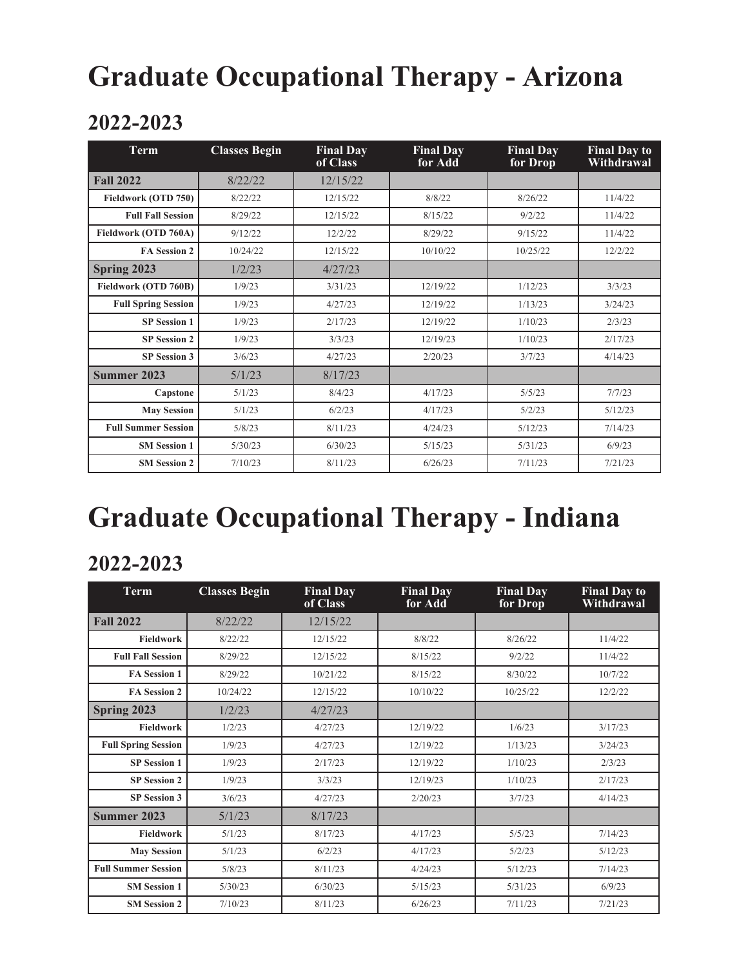### **Graduate Occupational Therapy - Arizona**

#### **2022-2023**

| <b>Term</b>                | <b>Classes Begin</b> | <b>Final Day</b><br>of Class | <b>Final Day</b><br>for Add | <b>Final Day</b><br>for Drop | <b>Final Day to</b><br>Withdrawal |
|----------------------------|----------------------|------------------------------|-----------------------------|------------------------------|-----------------------------------|
| <b>Fall 2022</b>           | 8/22/22              | 12/15/22                     |                             |                              |                                   |
| Fieldwork (OTD 750)        | 8/22/22              | 12/15/22                     | 8/8/22                      | 8/26/22                      | 11/4/22                           |
| <b>Full Fall Session</b>   | 8/29/22              | 12/15/22                     | 8/15/22                     | 9/2/22                       | 11/4/22                           |
| Fieldwork (OTD 760A)       | 9/12/22              | 12/2/22                      | 8/29/22                     | 9/15/22                      | 11/4/22                           |
| <b>FA Session 2</b>        | 10/24/22             | 12/15/22                     | 10/10/22                    | 10/25/22                     | 12/2/22                           |
| Spring 2023                | 1/2/23               | 4/27/23                      |                             |                              |                                   |
| Fieldwork (OTD 760B)       | 1/9/23               | 3/31/23                      | 12/19/22                    | 1/12/23                      | 3/3/23                            |
| <b>Full Spring Session</b> | 1/9/23               | 4/27/23                      | 12/19/22                    | 1/13/23                      | 3/24/23                           |
| <b>SP Session 1</b>        | 1/9/23               | 2/17/23                      | 12/19/22                    | 1/10/23                      | 2/3/23                            |
| <b>SP Session 2</b>        | 1/9/23               | 3/3/23                       | 12/19/23                    | 1/10/23                      | 2/17/23                           |
| <b>SP</b> Session 3        | 3/6/23               | 4/27/23                      | 2/20/23                     | 3/7/23                       | 4/14/23                           |
| Summer 2023                | 5/1/23               | 8/17/23                      |                             |                              |                                   |
| Capstone                   | 5/1/23               | 8/4/23                       | 4/17/23                     | 5/5/23                       | 7/7/23                            |
| <b>May Session</b>         | 5/1/23               | 6/2/23                       | 4/17/23                     | 5/2/23                       | 5/12/23                           |
| <b>Full Summer Session</b> | 5/8/23               | 8/11/23                      | 4/24/23                     | 5/12/23                      | 7/14/23                           |
| <b>SM Session 1</b>        | 5/30/23              | 6/30/23                      | 5/15/23                     | 5/31/23                      | 6/9/23                            |
| <b>SM Session 2</b>        | 7/10/23              | 8/11/23                      | 6/26/23                     | 7/11/23                      | 7/21/23                           |

## **Graduate Occupational Therapy - Indiana**

#### **2022-2023**

| <b>Term</b>                | <b>Classes Begin</b> | <b>Final Day</b><br>of Class | <b>Final Day</b><br>for Add | <b>Final Day</b><br>for Drop | <b>Final Day to</b><br>Withdrawal |
|----------------------------|----------------------|------------------------------|-----------------------------|------------------------------|-----------------------------------|
| <b>Fall 2022</b>           | 8/22/22              | 12/15/22                     |                             |                              |                                   |
| <b>Fieldwork</b>           | 8/22/22              | 12/15/22                     | 8/8/22                      | 8/26/22                      | 11/4/22                           |
| <b>Full Fall Session</b>   | 8/29/22              | 12/15/22                     | 8/15/22                     | 9/2/22                       | 11/4/22                           |
| <b>FA Session 1</b>        | 8/29/22              | 10/21/22                     | 8/15/22                     | 8/30/22                      | 10/7/22                           |
| <b>FA Session 2</b>        | 10/24/22             | 12/15/22                     | 10/10/22                    | 10/25/22                     | 12/2/22                           |
| Spring 2023                | 1/2/23               | 4/27/23                      |                             |                              |                                   |
| <b>Fieldwork</b>           | 1/2/23               | 4/27/23                      | 12/19/22                    | 1/6/23                       | 3/17/23                           |
| <b>Full Spring Session</b> | 1/9/23               | 4/27/23                      | 12/19/22                    | 1/13/23                      | 3/24/23                           |
| <b>SP</b> Session 1        | 1/9/23               | 2/17/23                      | 12/19/22                    | 1/10/23                      | 2/3/23                            |
| <b>SP Session 2</b>        | 1/9/23               | 3/3/23                       | 12/19/23                    | 1/10/23                      | 2/17/23                           |
| <b>SP</b> Session 3        | 3/6/23               | 4/27/23                      | 2/20/23                     | 3/7/23                       | 4/14/23                           |
| Summer 2023                | 5/1/23               | 8/17/23                      |                             |                              |                                   |
| <b>Fieldwork</b>           | 5/1/23               | 8/17/23                      | 4/17/23                     | 5/5/23                       | 7/14/23                           |
| <b>May Session</b>         | 5/1/23               | 6/2/23                       | 4/17/23                     | 5/2/23                       | 5/12/23                           |
| <b>Full Summer Session</b> | 5/8/23               | 8/11/23                      | 4/24/23                     | 5/12/23                      | 7/14/23                           |
| <b>SM Session 1</b>        | 5/30/23              | 6/30/23                      | 5/15/23                     | 5/31/23                      | 6/9/23                            |
| <b>SM Session 2</b>        | 7/10/23              | 8/11/23                      | 6/26/23                     | 7/11/23                      | 7/21/23                           |